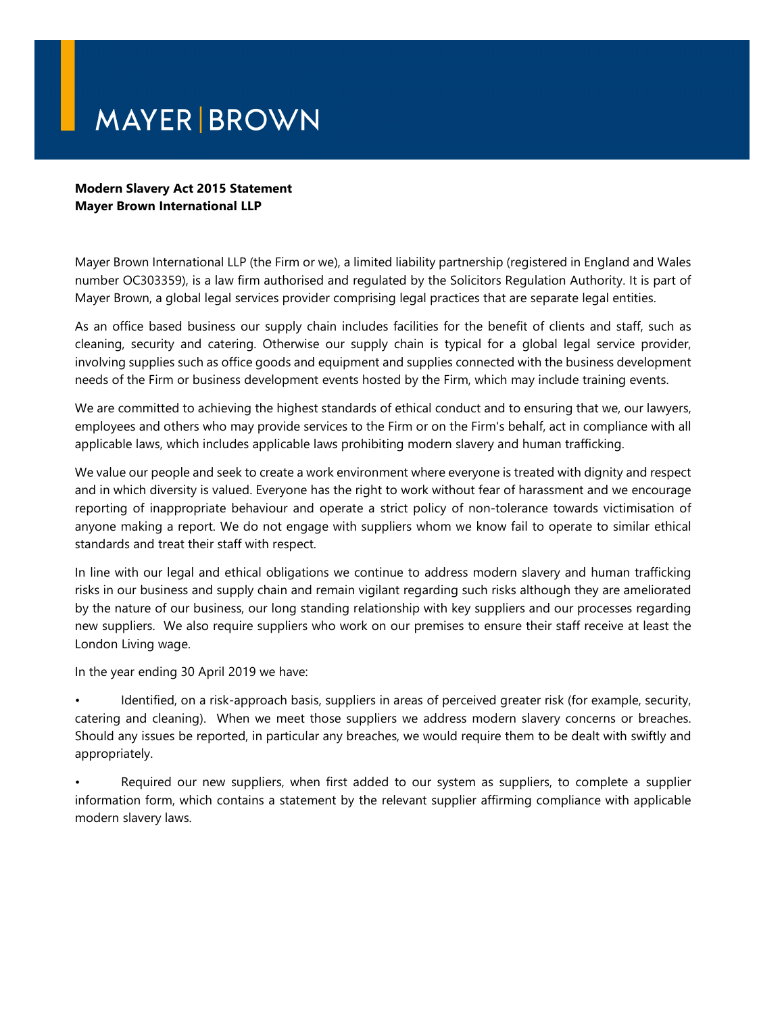## **MAYER BROWN**

## **Modern Slavery Act 2015 Statement Mayer Brown International LLP**

Mayer Brown International LLP (the Firm or we), a limited liability partnership (registered in England and Wales number OC303359), is a law firm authorised and regulated by the Solicitors Regulation Authority. It is part of Mayer Brown, a global legal services provider comprising legal practices that are separate legal entities.

As an office based business our supply chain includes facilities for the benefit of clients and staff, such as cleaning, security and catering. Otherwise our supply chain is typical for a global legal service provider, involving supplies such as office goods and equipment and supplies connected with the business development needs of the Firm or business development events hosted by the Firm, which may include training events.

We are committed to achieving the highest standards of ethical conduct and to ensuring that we, our lawyers, employees and others who may provide services to the Firm or on the Firm's behalf, act in compliance with all applicable laws, which includes applicable laws prohibiting modern slavery and human trafficking.

We value our people and seek to create a work environment where everyone is treated with dignity and respect and in which diversity is valued. Everyone has the right to work without fear of harassment and we encourage reporting of inappropriate behaviour and operate a strict policy of non-tolerance towards victimisation of anyone making a report. We do not engage with suppliers whom we know fail to operate to similar ethical standards and treat their staff with respect.

In line with our legal and ethical obligations we continue to address modern slavery and human trafficking risks in our business and supply chain and remain vigilant regarding such risks although they are ameliorated by the nature of our business, our long standing relationship with key suppliers and our processes regarding new suppliers. We also require suppliers who work on our premises to ensure their staff receive at least the London Living wage.

In the year ending 30 April 2019 we have:

• Identified, on a risk-approach basis, suppliers in areas of perceived greater risk (for example, security, catering and cleaning). When we meet those suppliers we address modern slavery concerns or breaches. Should any issues be reported, in particular any breaches, we would require them to be dealt with swiftly and appropriately.

• Required our new suppliers, when first added to our system as suppliers, to complete a supplier information form, which contains a statement by the relevant supplier affirming compliance with applicable modern slavery laws.